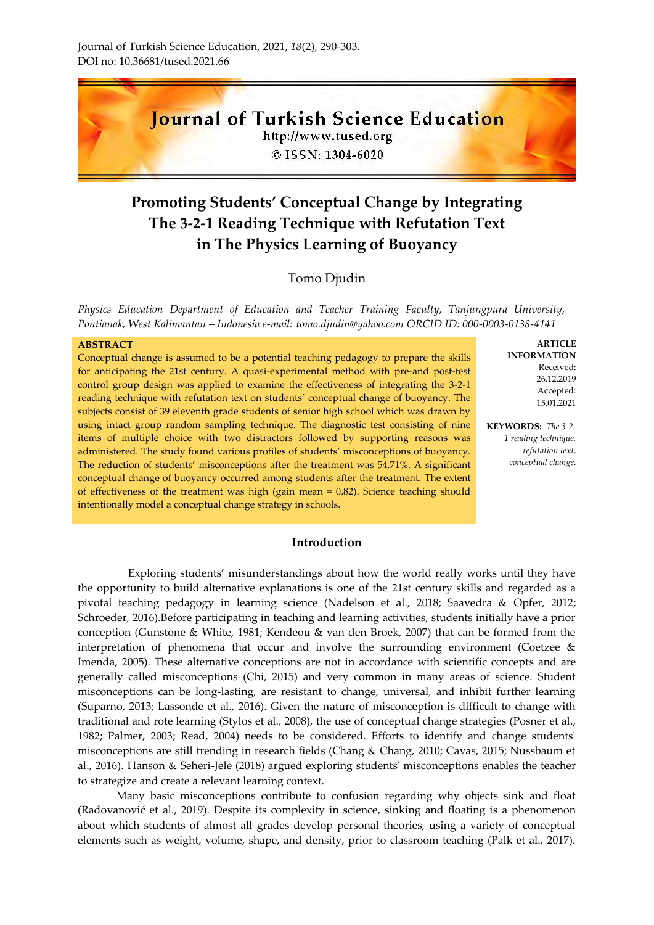

# **Promoting Students' Conceptual Change by Integrating The 3-2-1 Reading Technique with Refutation Text in The Physics Learning of Buoyancy**

# Tomo Djudin

*Physics Education Department of Education and Teacher Training Faculty, Tanjungpura University, Pontianak, West Kalimantan – Indonesia e-mail: [tomo.djudin@yahoo.com](mailto:tomo.djudin@yahoo.com) ORCID ID: 000-0003-0138-4141*

#### **ABSTRACT**

Conceptual change is assumed to be a potential teaching pedagogy to prepare the skills for anticipating the 21st century. A quasi-experimental method with pre-and post-test control group design was applied to examine the effectiveness of integrating the 3-2-1 reading technique with refutation text on students' conceptual change of buoyancy. The subjects consist of 39 eleventh grade students of senior high school which was drawn by using intact group random sampling technique. The diagnostic test consisting of nine items of multiple choice with two distractors followed by supporting reasons was administered. The study found various profiles of students' misconceptions of buoyancy. The reduction of students' misconceptions after the treatment was 54.71%. A significant conceptual change of buoyancy occurred among students after the treatment. The extent of effectiveness of the treatment was high (gain mean = 0.82). Science teaching should intentionally model a conceptual change strategy in schools.

#### **ARTICLE INFORMATION** Received: 26.12.2019 Accepted: 15.01.2021

**KEYWORDS:** *The 3-2- 1 reading technique, refutation text, conceptual change.*

#### **Introduction**

Exploring students' misunderstandings about how the world really works until they have the opportunity to build alternative explanations is one of the 21st century skills and regarded as a pivotal teaching pedagogy in learning science (Nadelson et al., 2018; Saavedra & Opfer, 2012; Schroeder, 2016).Before participating in teaching and learning activities, students initially have a prior conception (Gunstone & White, 1981; Kendeou & van den Broek, 2007) that can be formed from the interpretation of phenomena that occur and involve the surrounding environment (Coetzee & Imenda, 2005). These alternative conceptions are not in accordance with scientific concepts and are generally called misconceptions (Chi, 2015) and very common in many areas of science. Student misconceptions can be long-lasting, are resistant to change, universal, and inhibit further learning (Suparno, 2013; Lassonde et al., 2016). Given the nature of misconception is difficult to change with traditional and rote learning (Stylos et al., 2008), the use of conceptual change strategies (Posner et al., 1982; Palmer, 2003; Read, 2004) needs to be considered. Efforts to identify and change students' misconceptions are still trending in research fields (Chang & Chang, 2010; Cavas, 2015; Nussbaum et al., 2016). Hanson & Seheri-Jele (2018) argued exploring students' misconceptions enables the teacher to strategize and create a relevant learning context.

Many basic misconceptions contribute to confusion regarding why objects sink and float ([Radovanović](https://www.researchgate.net/scientific-contributions/2161352897_J_Radovanovic?_sg%5B0%5D=l57rEqHsWFNm8Bj0XWFuYB53o11rEJ5zMIeHQX0UQhUvq0TT3CrYTP6ohk4ArCqhiE-1roU.MlaIfhEeo4ZDp64mxbb03PnWpK447czoD62iYhSm835Z6uX149aNghUy2mbkXufLm9QU1bUuktuEffwcaF1QeQ&_sg%5B1%5D=PeSRSX8Ah46XwWRg6XES6v_oWSmu0vW3s20X2dKtVagF_QjfOvODHnC4AgYxMqx5DjyOc0m7mmei-u0.Ono8yLOmsMo810NUv4pCP3gss9eNb1YT7LwBf7fqwLbA0i2yAyF0bzMASlpO9U2GiYsT9NS4djETKVnmmF9LzA&_sg%5B2%5D=qPFTOIgMRVyy-6obYM3qtgMpXLglR3CHnJgzh4EHW441Zvg_cIEoalWYJhiRoOnRbg9vfYY.5tgh16U-ttlpXAvNIpLwGpKYDf-ngjLmBR1Pvg4A5UM4bvUy5oWkTiIwruswxKieTx_h2l6_cVPHAml8YYZSjQ) et al., 2019). Despite its complexity in science, sinking and floating is a phenomenon about which students of almost all grades develop personal theories, using a variety of conceptual elements such as weight, volume, shape, and density, prior to classroom teaching (Palk et al., 2017).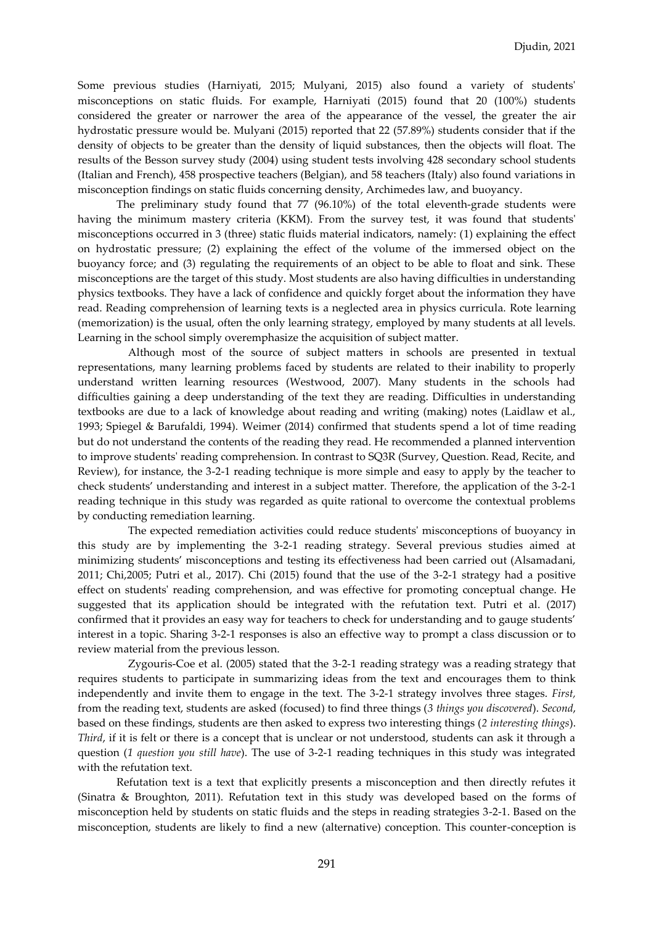Some previous studies (Harniyati, 2015; Mulyani, 2015) also found a variety of students' misconceptions on static fluids. For example, Harniyati (2015) found that 20 (100%) students considered the greater or narrower the area of the appearance of the vessel, the greater the air hydrostatic pressure would be. Mulyani (2015) reported that 22 (57.89%) students consider that if the density of objects to be greater than the density of liquid substances, then the objects will float. The results of the Besson survey study (2004) using student tests involving 428 secondary school students (Italian and French), 458 prospective teachers (Belgian), and 58 teachers (Italy) also found variations in misconception findings on static fluids concerning density, Archimedes law, and buoyancy.

The preliminary study found that 77 (96.10%) of the total eleventh-grade students were having the minimum mastery criteria (KKM). From the survey test, it was found that students' misconceptions occurred in 3 (three) static fluids material indicators, namely: (1) explaining the effect on hydrostatic pressure; (2) explaining the effect of the volume of the immersed object on the buoyancy force; and (3) regulating the requirements of an object to be able to float and sink. These misconceptions are the target of this study. Most students are also having difficulties in understanding physics textbooks. They have a lack of confidence and quickly forget about the information they have read. Reading comprehension of learning texts is a neglected area in physics curricula. Rote learning (memorization) is the usual, often the only learning strategy, employed by many students at all levels. Learning in the school simply overemphasize the acquisition of subject matter.

Although most of the source of subject matters in schools are presented in textual representations, many learning problems faced by students are related to their inability to properly understand written learning resources (Westwood, 2007). Many students in the schools had difficulties gaining a deep understanding of the text they are reading. Difficulties in understanding textbooks are due to a lack of knowledge about reading and writing (making) notes (Laidlaw et al., 1993; Spiegel & Barufaldi, 1994). Weimer (2014) confirmed that students spend a lot of time reading but do not understand the contents of the reading they read. He recommended a planned intervention to improve students' reading comprehension. In contrast to SQ3R (Survey, Question. Read, Recite, and Review), for instance, the 3-2-1 reading technique is more simple and easy to apply by the teacher to check students' understanding and interest in a subject matter. Therefore, the application of the 3-2-1 reading technique in this study was regarded as quite rational to overcome the contextual problems by conducting remediation learning.

The expected remediation activities could reduce students' misconceptions of buoyancy in this study are by implementing the 3-2-1 reading strategy. Several previous studies aimed at minimizing students' misconceptions and testing its effectiveness had been carried out (Alsamadani, 2011; Chi,2005; Putri et al., 2017). Chi (2015) found that the use of the 3-2-1 strategy had a positive effect on students' reading comprehension, and was effective for promoting conceptual change. He suggested that its application should be integrated with the refutation text. Putri et al. (2017) confirmed that it provides an easy way for teachers to check for understanding and to gauge students' interest in a topic. Sharing 3-2-1 responses is also an effective way to prompt a class discussion or to review material from the previous lesson.

Zygouris-Coe et al. (2005) stated that the 3-2-1 reading strategy was a reading strategy that requires students to participate in summarizing ideas from the text and encourages them to think independently and invite them to engage in the text. The 3-2-1 strategy involves three stages. *First,* from the reading text, students are asked (focused) to find three things (*3 things you discovered*). *Second*, based on these findings, students are then asked to express two interesting things (*2 interesting things*). *Third*, if it is felt or there is a concept that is unclear or not understood, students can ask it through a question (*1 question you still have*). The use of 3-2-1 reading techniques in this study was integrated with the refutation text.

Refutation text is a text that explicitly presents a misconception and then directly refutes it (Sinatra & Broughton, 2011). Refutation text in this study was developed based on the forms of misconception held by students on static fluids and the steps in reading strategies 3-2-1. Based on the misconception, students are likely to find a new (alternative) conception. This counter-conception is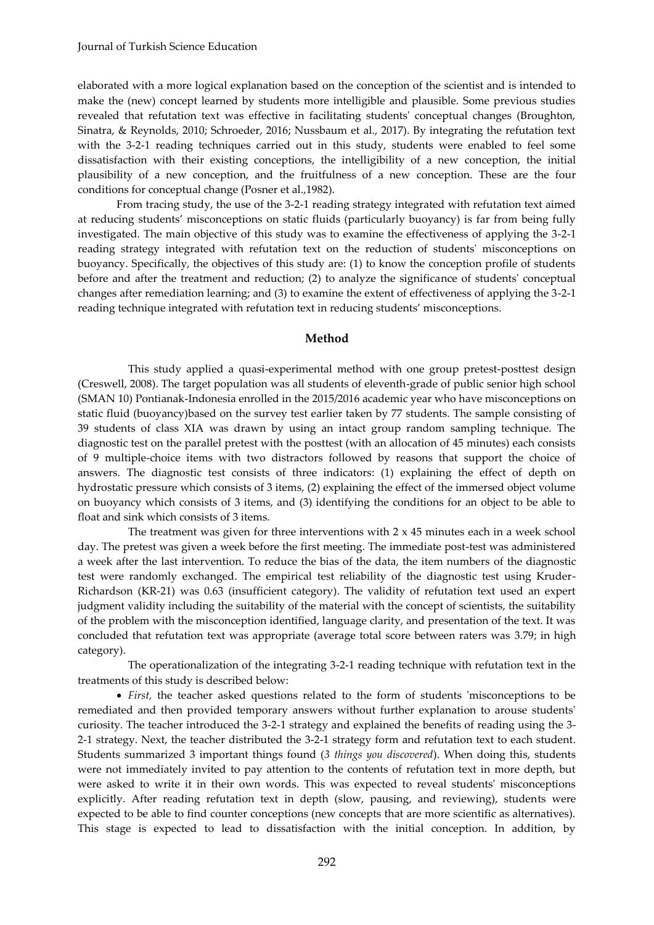#### Journal of Turkish Science Education

elaborated with a more logical explanation based on the conception of the scientist and is intended to make the (new) concept learned by students more intelligible and plausible. Some previous studies revealed that refutation text was effective in facilitating students' conceptual changes (Broughton, Sinatra, & Reynolds, 2010; Schroeder, 2016; Nussbaum et al., 2017). By integrating the refutation text with the 3-2-1 reading techniques carried out in this study, students were enabled to feel some dissatisfaction with their existing conceptions, the intelligibility of a new conception, the initial plausibility of a new conception, and the fruitfulness of a new conception. These are the four conditions for conceptual change (Posner et al.,1982).

From tracing study, the use of the 3-2-1 reading strategy integrated with refutation text aimed at reducing students' misconceptions on static fluids (particularly buoyancy) is far from being fully investigated. The main objective of this study was to examine the effectiveness of applying the 3-2-1 reading strategy integrated with refutation text on the reduction of students' misconceptions on buoyancy. Specifically, the objectives of this study are: (1) to know the conception profile of students before and after the treatment and reduction; (2) to analyze the significance of students' conceptual changes after remediation learning; and (3) to examine the extent of effectiveness of applying the 3-2-1 reading technique integrated with refutation text in reducing students' misconceptions.

#### **Method**

This study applied a quasi-experimental method with one group pretest-posttest design (Creswell, 2008). The target population was all students of eleventh-grade of public senior high school (SMAN 10) Pontianak-Indonesia enrolled in the 2015/2016 academic year who have misconceptions on static fluid (buoyancy)based on the survey test earlier taken by 77 students. The sample consisting of 39 students of class XIA was drawn by using an intact group random sampling technique. The diagnostic test on the parallel pretest with the posttest (with an allocation of 45 minutes) each consists of 9 multiple-choice items with two distractors followed by reasons that support the choice of answers. The diagnostic test consists of three indicators: (1) explaining the effect of depth on hydrostatic pressure which consists of 3 items, (2) explaining the effect of the immersed object volume on buoyancy which consists of 3 items, and (3) identifying the conditions for an object to be able to float and sink which consists of 3 items.

The treatment was given for three interventions with  $2 \times 45$  minutes each in a week school day. The pretest was given a week before the first meeting. The immediate post-test was administered a week after the last intervention. To reduce the bias of the data, the item numbers of the diagnostic test were randomly exchanged. The empirical test reliability of the diagnostic test using Kruder-Richardson (KR-21) was 0.63 (insufficient category). The validity of refutation text used an expert judgment validity including the suitability of the material with the concept of scientists, the suitability of the problem with the misconception identified, language clarity, and presentation of the text. It was concluded that refutation text was appropriate (average total score between raters was 3.79; in high category).

The operationalization of the integrating 3-2-1 reading technique with refutation text in the treatments of this study is described below:

 *First,* the teacher asked questions related to the form of students 'misconceptions to be remediated and then provided temporary answers without further explanation to arouse students' curiosity. The teacher introduced the 3-2-1 strategy and explained the benefits of reading using the 3- 2-1 strategy. Next, the teacher distributed the 3-2-1 strategy form and refutation text to each student. Students summarized 3 important things found (*3 things you discovered*). When doing this, students were not immediately invited to pay attention to the contents of refutation text in more depth, but were asked to write it in their own words. This was expected to reveal students' misconceptions explicitly. After reading refutation text in depth (slow, pausing, and reviewing), students were expected to be able to find counter conceptions (new concepts that are more scientific as alternatives). This stage is expected to lead to dissatisfaction with the initial conception. In addition, by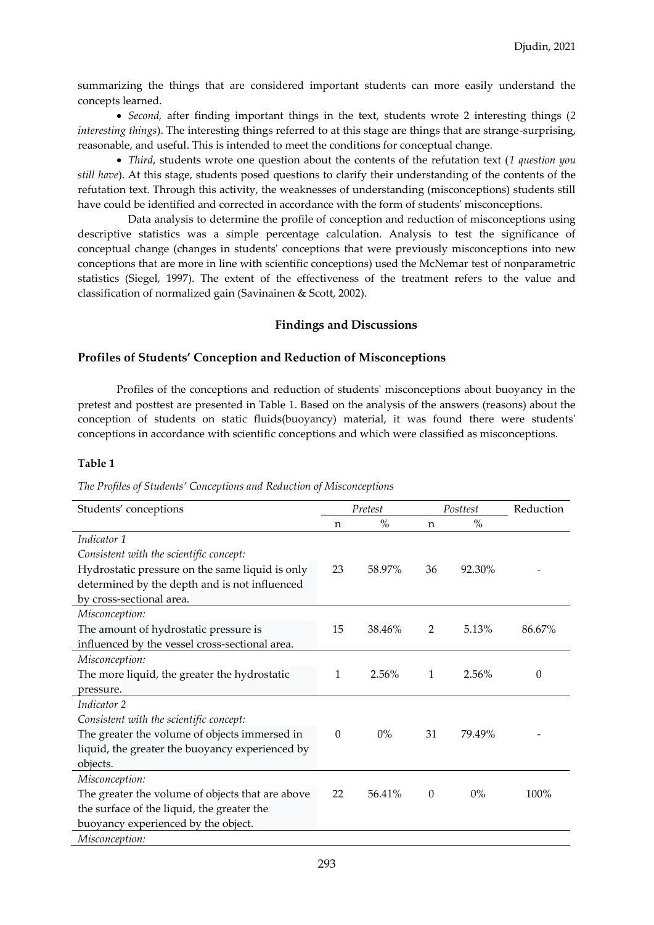summarizing the things that are considered important students can more easily understand the concepts learned.

 *Second,* after finding important things in the text, students wrote 2 interesting things (*2 interesting things*). The interesting things referred to at this stage are things that are strange-surprising, reasonable, and useful. This is intended to meet the conditions for conceptual change.

 *Third*, students wrote one question about the contents of the refutation text (*1 question you still have*). At this stage, students posed questions to clarify their understanding of the contents of the refutation text. Through this activity, the weaknesses of understanding (misconceptions) students still have could be identified and corrected in accordance with the form of students' misconceptions.

Data analysis to determine the profile of conception and reduction of misconceptions using descriptive statistics was a simple percentage calculation. Analysis to test the significance of conceptual change (changes in students' conceptions that were previously misconceptions into new conceptions that are more in line with scientific conceptions) used the McNemar test of nonparametric statistics (Siegel, 1997). The extent of the effectiveness of the treatment refers to the value and classification of normalized gain (Savinainen & Scott, 2002).

#### **Findings and Discussions**

#### **Profiles of Students' Conception and Reduction of Misconceptions**

Profiles of the conceptions and reduction of students' misconceptions about buoyancy in the pretest and posttest are presented in Table 1. Based on the analysis of the answers (reasons) about the conception of students on static fluids(buoyancy) material, it was found there were students' conceptions in accordance with scientific conceptions and which were classified as misconceptions.

#### **Table 1**

|  |  | The Profiles of Students' Conceptions and Reduction of Misconceptions |
|--|--|-----------------------------------------------------------------------|
|--|--|-----------------------------------------------------------------------|

| Students' conceptions                            |          | Pretest |              | Posttest | Reduction |
|--------------------------------------------------|----------|---------|--------------|----------|-----------|
|                                                  | n        | $\%$    | n            | $\%$     |           |
| Indicator 1                                      |          |         |              |          |           |
| Consistent with the scientific concept:          |          |         |              |          |           |
| Hydrostatic pressure on the same liquid is only  | 23       | 58.97%  | 36           | 92.30%   |           |
| determined by the depth and is not influenced    |          |         |              |          |           |
| by cross-sectional area.                         |          |         |              |          |           |
| Misconception:                                   |          |         |              |          |           |
| The amount of hydrostatic pressure is            | 15       | 38.46%  | 2            | 5.13%    | 86.67%    |
| influenced by the vessel cross-sectional area.   |          |         |              |          |           |
| Misconception:                                   |          |         |              |          |           |
| The more liquid, the greater the hydrostatic     | 1        | 2.56%   | $\mathbf{1}$ | 2.56%    | 0         |
| pressure.                                        |          |         |              |          |           |
| Indicator 2                                      |          |         |              |          |           |
| Consistent with the scientific concept:          |          |         |              |          |           |
| The greater the volume of objects immersed in    | $\Omega$ | $0\%$   | 31           | 79.49%   |           |
| liquid, the greater the buoyancy experienced by  |          |         |              |          |           |
| objects.                                         |          |         |              |          |           |
| Misconception:                                   |          |         |              |          |           |
| The greater the volume of objects that are above | 22       | 56.41%  | $\theta$     | $0\%$    | 100%      |
| the surface of the liquid, the greater the       |          |         |              |          |           |
| buoyancy experienced by the object.              |          |         |              |          |           |
| Misconception:                                   |          |         |              |          |           |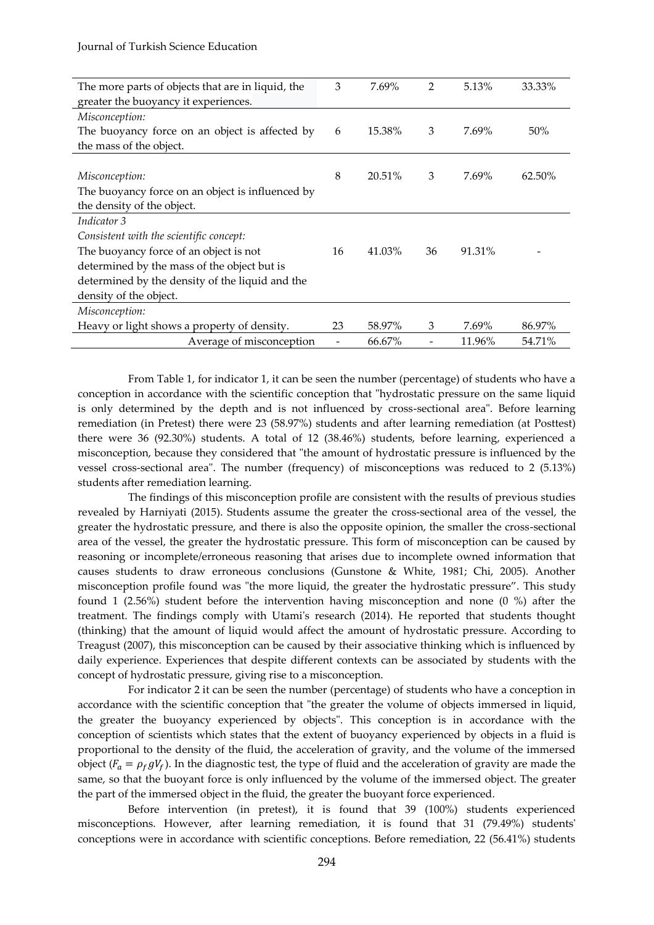| The more parts of objects that are in liquid, the | 3  | 7.69%  | 2  | 5.13%  | 33.33% |
|---------------------------------------------------|----|--------|----|--------|--------|
| greater the buoyancy it experiences.              |    |        |    |        |        |
| Misconception:                                    |    |        |    |        |        |
| The buoyancy force on an object is affected by    | 6  | 15.38% | 3  | 7.69%  | 50%    |
| the mass of the object.                           |    |        |    |        |        |
|                                                   |    |        |    |        |        |
| Misconception:                                    | 8  | 20.51% | 3  | 7.69%  | 62.50% |
| The buoyancy force on an object is influenced by  |    |        |    |        |        |
| the density of the object.                        |    |        |    |        |        |
| Indicator 3                                       |    |        |    |        |        |
| Consistent with the scientific concept:           |    |        |    |        |        |
| The buoyancy force of an object is not            |    | 41.03% | 36 | 91.31% |        |
| determined by the mass of the object but is       |    |        |    |        |        |
| determined by the density of the liquid and the   |    |        |    |        |        |
| density of the object.                            |    |        |    |        |        |
| Misconception:                                    |    |        |    |        |        |
| Heavy or light shows a property of density.       | 23 | 58.97% | 3  | 7.69%  | 86.97% |
| Average of misconception                          |    | 66.67% |    | 11.96% | 54.71% |

From Table 1, for indicator 1, it can be seen the number (percentage) of students who have a conception in accordance with the scientific conception that "hydrostatic pressure on the same liquid is only determined by the depth and is not influenced by cross-sectional area". Before learning remediation (in Pretest) there were 23 (58.97%) students and after learning remediation (at Posttest) there were 36 (92.30%) students. A total of 12 (38.46%) students, before learning, experienced a misconception, because they considered that "the amount of hydrostatic pressure is influenced by the vessel cross-sectional area". The number (frequency) of misconceptions was reduced to 2 (5.13%) students after remediation learning.

The findings of this misconception profile are consistent with the results of previous studies revealed by Harniyati (2015). Students assume the greater the cross-sectional area of the vessel, the greater the hydrostatic pressure, and there is also the opposite opinion, the smaller the cross-sectional area of the vessel, the greater the hydrostatic pressure. This form of misconception can be caused by reasoning or incomplete/erroneous reasoning that arises due to incomplete owned information that causes students to draw erroneous conclusions (Gunstone & White, 1981; Chi, 2005). Another misconception profile found was "the more liquid, the greater the hydrostatic pressure". This study found 1 (2.56%) student before the intervention having misconception and none (0 %) after the treatment. The findings comply with Utami's research (2014). He reported that students thought (thinking) that the amount of liquid would affect the amount of hydrostatic pressure. According to Treagust (2007), this misconception can be caused by their associative thinking which is influenced by daily experience. Experiences that despite different contexts can be associated by students with the concept of hydrostatic pressure, giving rise to a misconception.

For indicator 2 it can be seen the number (percentage) of students who have a conception in accordance with the scientific conception that "the greater the volume of objects immersed in liquid, the greater the buoyancy experienced by objects". This conception is in accordance with the conception of scientists which states that the extent of buoyancy experienced by objects in a fluid is proportional to the density of the fluid, the acceleration of gravity, and the volume of the immersed object ( $F_a = \rho_f g V_f$ ). In the diagnostic test, the type of fluid and the acceleration of gravity are made the same, so that the buoyant force is only influenced by the volume of the immersed object. The greater the part of the immersed object in the fluid, the greater the buoyant force experienced.

Before intervention (in pretest), it is found that 39 (100%) students experienced misconceptions. However, after learning remediation, it is found that 31 (79.49%) students' conceptions were in accordance with scientific conceptions. Before remediation, 22 (56.41%) students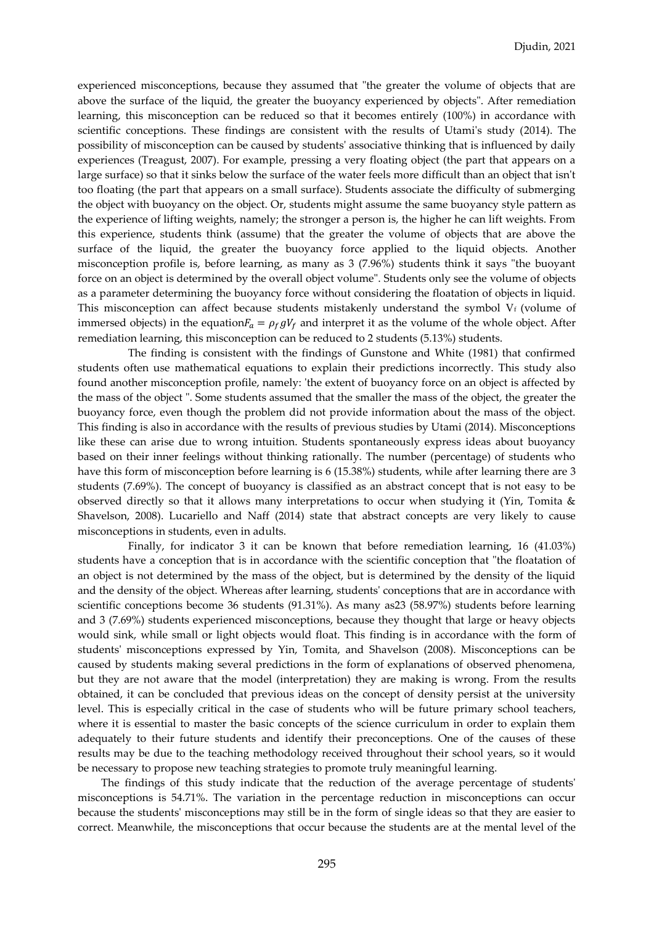experienced misconceptions, because they assumed that "the greater the volume of objects that are above the surface of the liquid, the greater the buoyancy experienced by objects". After remediation learning, this misconception can be reduced so that it becomes entirely (100%) in accordance with scientific conceptions. These findings are consistent with the results of Utami's study (2014). The possibility of misconception can be caused by students' associative thinking that is influenced by daily experiences (Treagust, 2007). For example, pressing a very floating object (the part that appears on a large surface) so that it sinks below the surface of the water feels more difficult than an object that isn't too floating (the part that appears on a small surface). Students associate the difficulty of submerging the object with buoyancy on the object. Or, students might assume the same buoyancy style pattern as the experience of lifting weights, namely; the stronger a person is, the higher he can lift weights. From this experience, students think (assume) that the greater the volume of objects that are above the surface of the liquid, the greater the buoyancy force applied to the liquid objects. Another misconception profile is, before learning, as many as 3 (7.96%) students think it says "the buoyant force on an object is determined by the overall object volume". Students only see the volume of objects as a parameter determining the buoyancy force without considering the floatation of objects in liquid. This misconception can affect because students mistakenly understand the symbol  $V_f$  (volume of immersed objects) in the equation  $F_a = \rho_f g V_f$  and interpret it as the volume of the whole object. After remediation learning, this misconception can be reduced to 2 students (5.13%) students.

The finding is consistent with the findings of Gunstone and White (1981) that confirmed students often use mathematical equations to explain their predictions incorrectly. This study also found another misconception profile, namely: 'the extent of buoyancy force on an object is affected by the mass of the object ". Some students assumed that the smaller the mass of the object, the greater the buoyancy force, even though the problem did not provide information about the mass of the object. This finding is also in accordance with the results of previous studies by Utami (2014). Misconceptions like these can arise due to wrong intuition. Students spontaneously express ideas about buoyancy based on their inner feelings without thinking rationally. The number (percentage) of students who have this form of misconception before learning is 6 (15.38%) students, while after learning there are 3 students (7.69%). The concept of buoyancy is classified as an abstract concept that is not easy to be observed directly so that it allows many interpretations to occur when studying it (Yin, Tomita & Shavelson, 2008). Lucariello and Naff (2014) state that abstract concepts are very likely to cause misconceptions in students, even in adults.

Finally, for indicator 3 it can be known that before remediation learning, 16 (41.03%) students have a conception that is in accordance with the scientific conception that "the floatation of an object is not determined by the mass of the object, but is determined by the density of the liquid and the density of the object. Whereas after learning, students' conceptions that are in accordance with scientific conceptions become 36 students (91.31%). As many as23 (58.97%) students before learning and 3 (7.69%) students experienced misconceptions, because they thought that large or heavy objects would sink, while small or light objects would float. This finding is in accordance with the form of students' misconceptions expressed by Yin, Tomita, and Shavelson (2008). Misconceptions can be caused by students making several predictions in the form of explanations of observed phenomena, but they are not aware that the model (interpretation) they are making is wrong. From the results obtained, it can be concluded that previous ideas on the concept of density persist at the university level. This is especially critical in the case of students who will be future primary school teachers, where it is essential to master the basic concepts of the science curriculum in order to explain them adequately to their future students and identify their preconceptions. One of the causes of these results may be due to the teaching methodology received throughout their school years, so it would be necessary to propose new teaching strategies to promote truly meaningful learning.

The findings of this study indicate that the reduction of the average percentage of students' misconceptions is 54.71%. The variation in the percentage reduction in misconceptions can occur because the students' misconceptions may still be in the form of single ideas so that they are easier to correct. Meanwhile, the misconceptions that occur because the students are at the mental level of the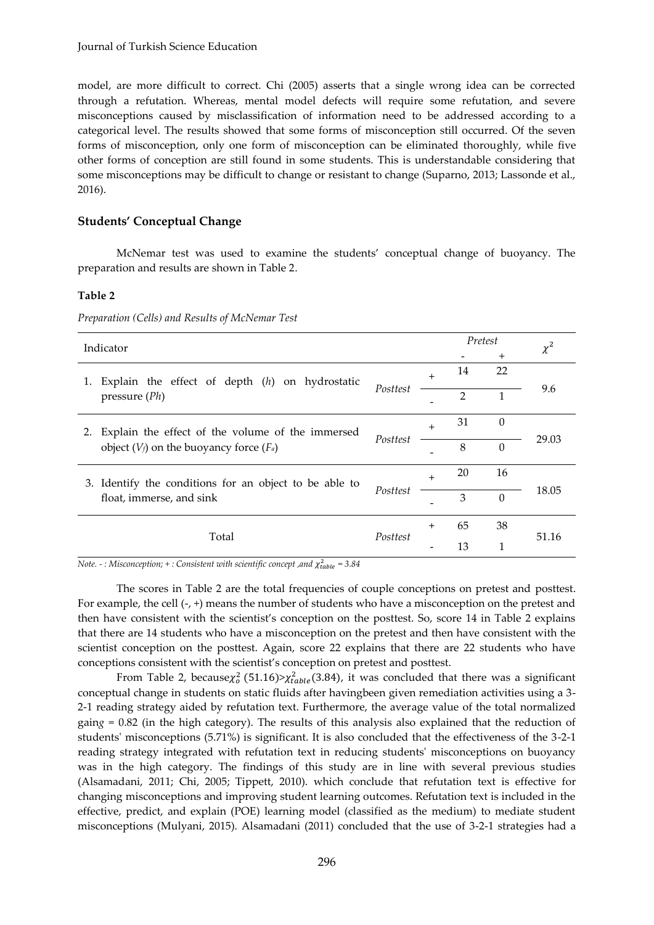model, are more difficult to correct. Chi (2005) asserts that a single wrong idea can be corrected through a refutation. Whereas, mental model defects will require some refutation, and severe misconceptions caused by misclassification of information need to be addressed according to a categorical level. The results showed that some forms of misconception still occurred. Of the seven forms of misconception, only one form of misconception can be eliminated thoroughly, while five other forms of conception are still found in some students. This is understandable considering that some misconceptions may be difficult to change or resistant to change (Suparno, 2013; Lassonde et al., 2016).

### **Students' Conceptual Change**

McNemar test was used to examine the students' conceptual change of buoyancy. The preparation and results are shown in Table 2.

#### **Table 2**

| Indicator                                                                                              |          |     | Pretest        |                | $\chi^2$ |
|--------------------------------------------------------------------------------------------------------|----------|-----|----------------|----------------|----------|
|                                                                                                        |          |     |                | $\overline{+}$ |          |
| Explain the effect of depth $(h)$ on hydrostatic<br>1.<br>pressure $(Ph)$                              | Posttest | $+$ | 14             | 22             |          |
|                                                                                                        |          |     | $\overline{2}$ | 1              | 9.6      |
| Explain the effect of the volume of the immersed<br>2.<br>object $(V_f)$ on the buoyancy force $(F_a)$ | Posttest | $+$ | 31             | $\Omega$       | 29.03    |
|                                                                                                        |          |     | 8              | $\theta$       |          |
| 3. Identify the conditions for an object to be able to<br>float, immerse, and sink                     | Posttest | $+$ | 20             | 16             |          |
|                                                                                                        |          |     | 3              | $\theta$       | 18.05    |
| Total                                                                                                  | Posttest | $+$ | 65             | 38             | 51.16    |
|                                                                                                        |          |     | 13             | 1              |          |

*Preparation (Cells) and Results of McNemar Test* 

*Note. - : Misconception; + : Consistent with scientific concept ,and*  2 *= 3.84*

The scores in Table 2 are the total frequencies of couple conceptions on pretest and posttest. For example, the cell  $(-, +)$  means the number of students who have a misconception on the pretest and then have consistent with the scientist's conception on the posttest. So, score 14 in Table 2 explains that there are 14 students who have a misconception on the pretest and then have consistent with the scientist conception on the posttest. Again, score 22 explains that there are 22 students who have conceptions consistent with the scientist's conception on pretest and posttest.

From Table 2, because $\chi_o^2$  (51.16)> $\chi_{table}^2$ (3.84), it was concluded that there was a significant conceptual change in students on static fluids after havingbeen given remediation activities using a 3- 2-1 reading strategy aided by refutation text. Furthermore, the average value of the total normalized gain*g* = 0.82 (in the high category). The results of this analysis also explained that the reduction of students' misconceptions (5.71%) is significant. It is also concluded that the effectiveness of the 3-2-1 reading strategy integrated with refutation text in reducing students' misconceptions on buoyancy was in the high category. The findings of this study are in line with several previous studies (Alsamadani, 2011; Chi, 2005; Tippett, 2010). which conclude that refutation text is effective for changing misconceptions and improving student learning outcomes. Refutation text is included in the effective, predict, and explain (POE) learning model (classified as the medium) to mediate student misconceptions (Mulyani, 2015). Alsamadani (2011) concluded that the use of 3-2-1 strategies had a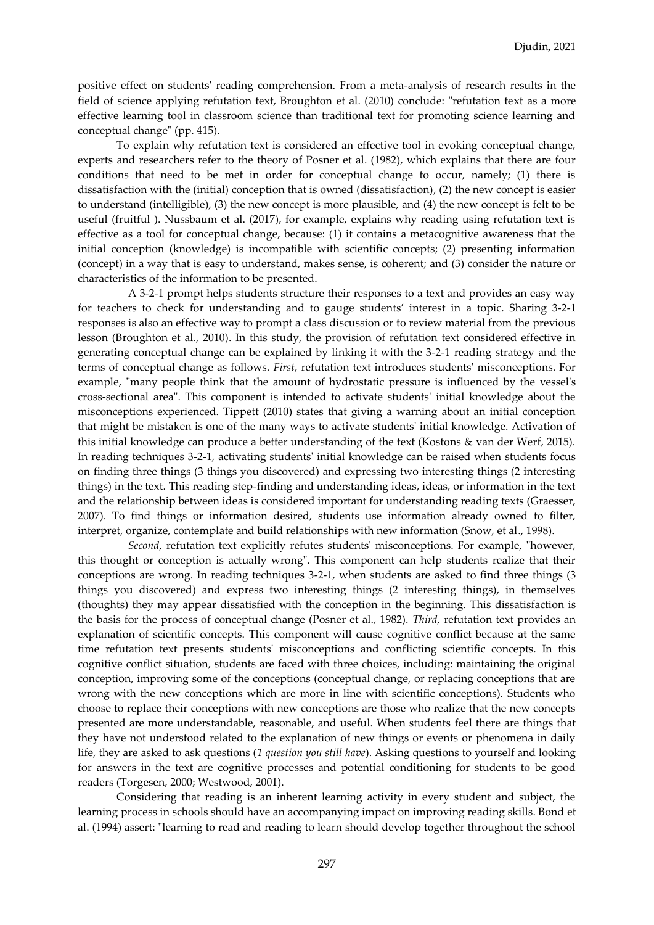positive effect on students' reading comprehension. From a meta-analysis of research results in the field of science applying refutation text, Broughton et al. (2010) conclude: "refutation text as a more effective learning tool in classroom science than traditional text for promoting science learning and conceptual change" (pp. 415).

To explain why refutation text is considered an effective tool in evoking conceptual change, experts and researchers refer to the theory of Posner et al. (1982), which explains that there are four conditions that need to be met in order for conceptual change to occur, namely; (1) there is dissatisfaction with the (initial) conception that is owned (dissatisfaction), (2) the new concept is easier to understand (intelligible), (3) the new concept is more plausible, and (4) the new concept is felt to be useful (fruitful ). Nussbaum et al. (2017), for example, explains why reading using refutation text is effective as a tool for conceptual change, because: (1) it contains a metacognitive awareness that the initial conception (knowledge) is incompatible with scientific concepts; (2) presenting information (concept) in a way that is easy to understand, makes sense, is coherent; and (3) consider the nature or characteristics of the information to be presented.

A 3-2-1 prompt helps students structure their responses to a text and provides an easy way for teachers to check for understanding and to gauge students' interest in a topic. Sharing 3-2-1 responses is also an effective way to prompt a class discussion or to review material from the previous lesson (Broughton et al., 2010). In this study, the provision of refutation text considered effective in generating conceptual change can be explained by linking it with the 3-2-1 reading strategy and the terms of conceptual change as follows. *First*, refutation text introduces students' misconceptions. For example, "many people think that the amount of hydrostatic pressure is influenced by the vessel's cross-sectional area". This component is intended to activate students' initial knowledge about the misconceptions experienced. Tippett (2010) states that giving a warning about an initial conception that might be mistaken is one of the many ways to activate students' initial knowledge. Activation of this initial knowledge can produce a better understanding of the text (Kostons & van der Werf, 2015). In reading techniques 3-2-1, activating students' initial knowledge can be raised when students focus on finding three things (3 things you discovered) and expressing two interesting things (2 interesting things) in the text. This reading step-finding and understanding ideas, ideas, or information in the text and the relationship between ideas is considered important for understanding reading texts (Graesser, 2007). To find things or information desired, students use information already owned to filter, interpret, organize, contemplate and build relationships with new information (Snow, et al., 1998).

*Second*, refutation text explicitly refutes students' misconceptions. For example, "however, this thought or conception is actually wrong". This component can help students realize that their conceptions are wrong. In reading techniques 3-2-1, when students are asked to find three things (3 things you discovered) and express two interesting things (2 interesting things), in themselves (thoughts) they may appear dissatisfied with the conception in the beginning. This dissatisfaction is the basis for the process of conceptual change (Posner et al., 1982). *Third,* refutation text provides an explanation of scientific concepts. This component will cause cognitive conflict because at the same time refutation text presents students' misconceptions and conflicting scientific concepts. In this cognitive conflict situation, students are faced with three choices, including: maintaining the original conception, improving some of the conceptions (conceptual change, or replacing conceptions that are wrong with the new conceptions which are more in line with scientific conceptions). Students who choose to replace their conceptions with new conceptions are those who realize that the new concepts presented are more understandable, reasonable, and useful. When students feel there are things that they have not understood related to the explanation of new things or events or phenomena in daily life, they are asked to ask questions (*1 question you still have*). Asking questions to yourself and looking for answers in the text are cognitive processes and potential conditioning for students to be good readers (Torgesen, 2000; Westwood, 2001).

Considering that reading is an inherent learning activity in every student and subject, the learning process in schools should have an accompanying impact on improving reading skills. Bond et al. (1994) assert: "learning to read and reading to learn should develop together throughout the school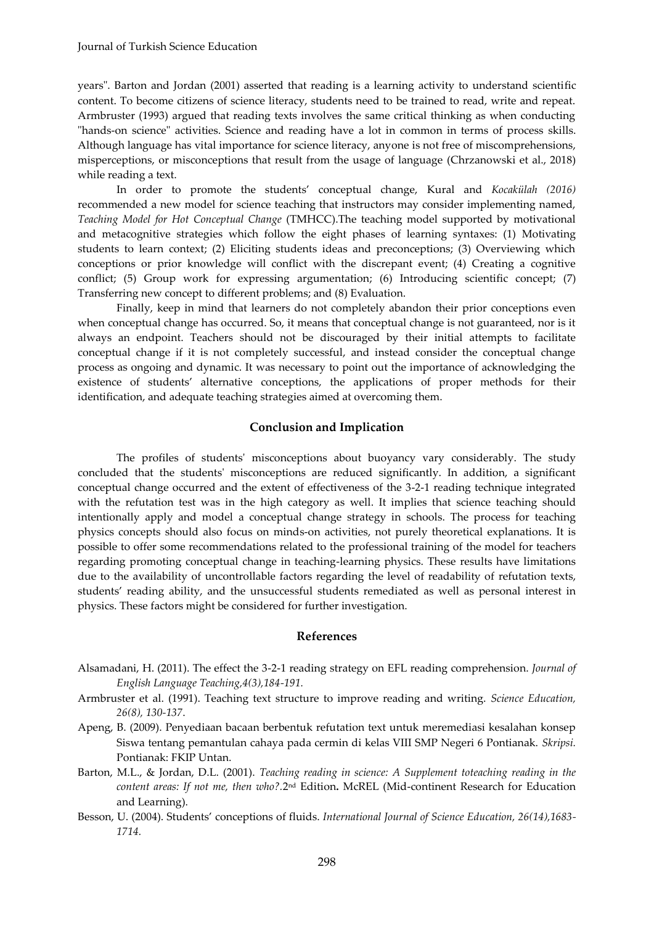years". Barton and Jordan (2001) asserted that reading is a learning activity to understand scientific content. To become citizens of science literacy, students need to be trained to read, write and repeat. Armbruster (1993) argued that reading texts involves the same critical thinking as when conducting "hands-on science" activities. Science and reading have a lot in common in terms of process skills. Although language has vital importance for science literacy, anyone is not free of miscomprehensions, misperceptions, or misconceptions that result from the usage of language (Chrzanowski et al., 2018) while reading a text.

In order to promote the students' conceptual change, Kural and *Kocakülah (2016)*  recommended a new model for science teaching that instructors may consider implementing named, *Teaching Model for Hot Conceptual Change* (TMHCC).The teaching model supported by motivational and metacognitive strategies which follow the eight phases of learning syntaxes: (1) Motivating students to learn context; (2) Eliciting students ideas and preconceptions; (3) Overviewing which conceptions or prior knowledge will conflict with the discrepant event; (4) Creating a cognitive conflict; (5) Group work for expressing argumentation; (6) Introducing scientific concept; (7) Transferring new concept to different problems; and (8) Evaluation.

Finally, keep in mind that learners do not completely abandon their prior conceptions even when conceptual change has occurred. So, it means that conceptual change is not guaranteed, nor is it always an endpoint. Teachers should not be discouraged by their initial attempts to facilitate conceptual change if it is not completely successful, and instead consider the conceptual change process as ongoing and dynamic. It was necessary to point out the importance of acknowledging the existence of students' alternative conceptions, the applications of proper methods for their identification, and adequate teaching strategies aimed at overcoming them.

#### **Conclusion and Implication**

The profiles of students' misconceptions about buoyancy vary considerably. The study concluded that the students' misconceptions are reduced significantly. In addition, a significant conceptual change occurred and the extent of effectiveness of the 3-2-1 reading technique integrated with the refutation test was in the high category as well. It implies that science teaching should intentionally apply and model a conceptual change strategy in schools. The process for teaching physics concepts should also focus on minds-on activities, not purely theoretical explanations. It is possible to offer some recommendations related to the professional training of the model for teachers regarding promoting conceptual change in teaching-learning physics. These results have limitations due to the availability of uncontrollable factors regarding the level of readability of refutation texts, students' reading ability, and the unsuccessful students remediated as well as personal interest in physics. These factors might be considered for further investigation.

#### **References**

- Alsamadani, H. (2011). The effect the 3-2-1 reading strategy on EFL reading comprehension. *Journal of English Language Teaching,4(3),184-191.*
- Armbruster et al. (1991). Teaching text structure to improve reading and writing. *Science Education, 26(8), 130-137*.
- Apeng, B. (2009). Penyediaan bacaan berbentuk refutation text untuk meremediasi kesalahan konsep Siswa tentang pemantulan cahaya pada cermin di kelas VIII SMP Negeri 6 Pontianak. *Skripsi.* Pontianak: FKIP Untan.
- Barton, M.L., & Jordan, D.L. (2001). *Teaching reading in science: A Supplement toteaching reading in the*  content areas: If not me, then who?.2nd Edition**.** McREL (Mid-continent Research for Education and Learning).
- Besson, U. (2004). Students' conceptions of fluids. *International Journal of Science Education, 26(14),1683- 1714.*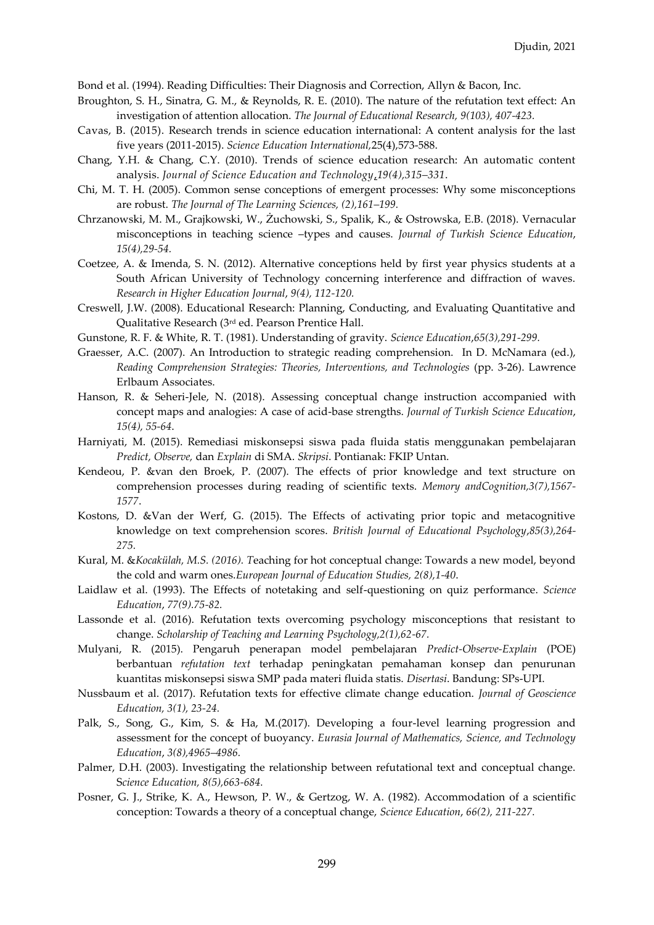Bond et al. (1994). Reading Difficulties: Their Diagnosis and Correction, Allyn & Bacon, Inc.

- Broughton, S. H., Sinatra, G. M., & Reynolds, R. E. (2010). The nature of the refutation text effect: An investigation of attention allocation. *The Journal of Educational Research, 9(103), 407-423.*
- Cavas, B. (2015). Research trends in science education international: A content analysis for the last five years (2011-2015). *Science Education International,*25(4),573-588.
- Chang, Y.H. & Chang, C.Y. (2010). Trends of science education research: An automatic content analysis. *Journal of Science Education and Technology*,*19(4),315–331*.
- Chi, M. T. H. (2005). Common sense conceptions of emergent processes: Why some misconceptions are robust. *The Journal of The Learning Sciences, (2),161–199.*
- Chrzanowski, M. M., Grajkowski, W., Żuchowski, S., Spalik, K., & Ostrowska, E.B. (2018). Vernacular misconceptions in teaching science –types and causes. *Journal of Turkish Science Education*, *15(4),29-54.*
- Coetzee, A. & Imenda, S. N. (2012). Alternative conceptions held by first year physics students at a South African University of Technology concerning interference and diffraction of waves. *Research in Higher Education Journal*, *9(4), 112-120.*
- Creswell, J.W. (2008). Educational Research: Planning, Conducting, and Evaluating Quantitative and Qualitative Research (3rd ed. Pearson Prentice Hall.
- Gunstone, R. F. & White, R. T. (1981). Understanding of gravity. *Science Education*,*65(3),291-299.*
- Graesser, A.C. (2007). An Introduction to strategic reading comprehension. In D. McNamara (ed.), *Reading Comprehension Strategies: Theories, Interventions, and Technologies* (pp. 3-26). Lawrence Erlbaum Associates.
- Hanson, R. & Seheri-Jele, N. (2018). Assessing conceptual change instruction accompanied with concept maps and analogies: A case of acid-base strengths. *Journal of Turkish Science Education*, *15(4), 55-64*.
- Harniyati, M. (2015). Remediasi miskonsepsi siswa pada fluida statis menggunakan pembelajaran *Predict, Observe,* dan *Explain* di SMA. *Skripsi*. Pontianak: FKIP Untan.
- Kendeou, P. &van den Broek, P. (2007). The effects of prior knowledge and text structure on comprehension processes during reading of scientific texts. *Memory andCognition,3(7),1567- 1577*.
- Kostons, D. &Van der Werf, G. (2015). The Effects of activating prior topic and metacognitive knowledge on text comprehension scores. *British Journal of Educational Psychology*,*85(3),264- 275.*
- Kural, M. &*Kocakülah, M.S. (2016). T*eaching for hot conceptual change: Towards a new model, beyond the cold and warm ones.*European Journal of Education Studies, 2(8),1-40*.
- Laidlaw et al. (1993). The Effects of notetaking and self-questioning on quiz performance. *Science Education*, *77(9).75-82.*
- Lassonde et al. (2016). Refutation texts overcoming psychology misconceptions that resistant to change. *Scholarship of Teaching and Learning Psychology,2(1),62-67.*
- Mulyani, R. (2015). Pengaruh penerapan model pembelajaran *Predict-Observe-Explain* (POE) berbantuan *refutation text* terhadap peningkatan pemahaman konsep dan penurunan kuantitas miskonsepsi siswa SMP pada materi fluida statis. *Disertasi*. Bandung: SPs-UPI.
- Nussbaum et al. (2017). Refutation texts for effective climate change education. *Journal of Geoscience Education, 3(1), 23-24.*
- Palk, S., Song, G., Kim, S. & Ha, M.(2017). Developing a four-level learning progression and assessment for the concept of buoyancy. *Eurasia Journal of Mathematics, Science, and Technology Education*, *3(8),4965–4986.*
- Palmer, D.H. (2003). Investigating the relationship between refutational text and conceptual change. S*cience Education, 8(5),663-684.*
- Posner, G. J., Strike, K. A., Hewson, P. W., & Gertzog, W. A. (1982). Accommodation of a scientific conception: Towards a theory of a conceptual change, *Science Education*, *66(2), 211-227.*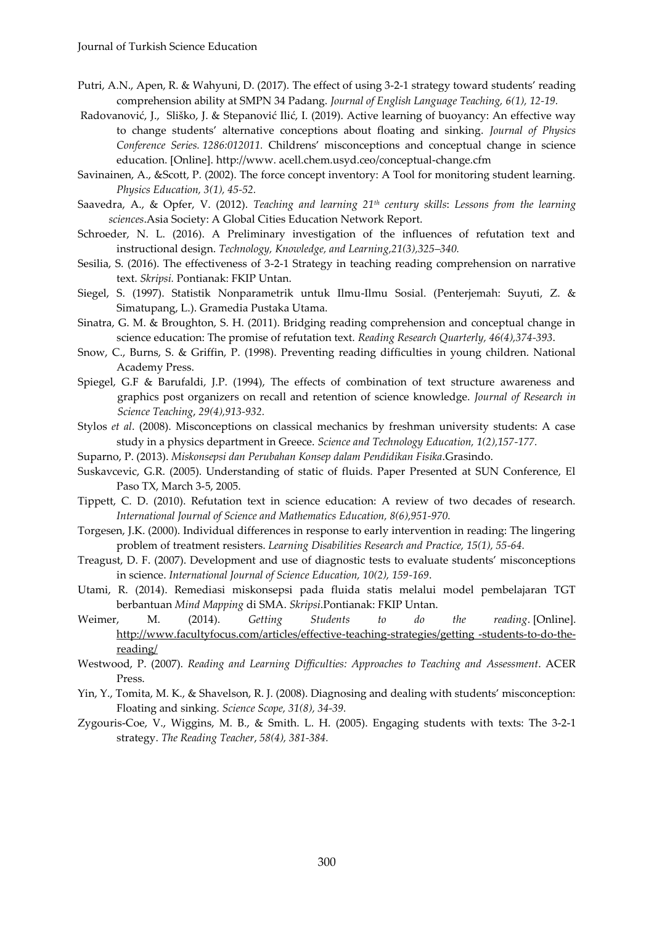- Putri, A.N., Apen, R. & Wahyuni, D. (2017). The effect of using 3-2-1 strategy toward students' reading comprehension ability at SMPN 34 Padang. *Journal of English Language Teaching, 6(1), 12-19.*
- [Radovanović](https://www.researchgate.net/scientific-contributions/2161352897_J_Radovanovic?_sg%5B0%5D=l57rEqHsWFNm8Bj0XWFuYB53o11rEJ5zMIeHQX0UQhUvq0TT3CrYTP6ohk4ArCqhiE-1roU.MlaIfhEeo4ZDp64mxbb03PnWpK447czoD62iYhSm835Z6uX149aNghUy2mbkXufLm9QU1bUuktuEffwcaF1QeQ&_sg%5B1%5D=PeSRSX8Ah46XwWRg6XES6v_oWSmu0vW3s20X2dKtVagF_QjfOvODHnC4AgYxMqx5DjyOc0m7mmei-u0.Ono8yLOmsMo810NUv4pCP3gss9eNb1YT7LwBf7fqwLbA0i2yAyF0bzMASlpO9U2GiYsT9NS4djETKVnmmF9LzA&_sg%5B2%5D=qPFTOIgMRVyy-6obYM3qtgMpXLglR3CHnJgzh4EHW441Zvg_cIEoalWYJhiRoOnRbg9vfYY.5tgh16U-ttlpXAvNIpLwGpKYDf-ngjLmBR1Pvg4A5UM4bvUy5oWkTiIwruswxKieTx_h2l6_cVPHAml8YYZSjQ), J., [Sliško](https://www.researchgate.net/scientific-contributions/2009082989_Josip_Slisko?_sg%5B0%5D=l57rEqHsWFNm8Bj0XWFuYB53o11rEJ5zMIeHQX0UQhUvq0TT3CrYTP6ohk4ArCqhiE-1roU.MlaIfhEeo4ZDp64mxbb03PnWpK447czoD62iYhSm835Z6uX149aNghUy2mbkXufLm9QU1bUuktuEffwcaF1QeQ&_sg%5B1%5D=PeSRSX8Ah46XwWRg6XES6v_oWSmu0vW3s20X2dKtVagF_QjfOvODHnC4AgYxMqx5DjyOc0m7mmei-u0.Ono8yLOmsMo810NUv4pCP3gss9eNb1YT7LwBf7fqwLbA0i2yAyF0bzMASlpO9U2GiYsT9NS4djETKVnmmF9LzA&_sg%5B2%5D=qPFTOIgMRVyy-6obYM3qtgMpXLglR3CHnJgzh4EHW441Zvg_cIEoalWYJhiRoOnRbg9vfYY.5tgh16U-ttlpXAvNIpLwGpKYDf-ngjLmBR1Pvg4A5UM4bvUy5oWkTiIwruswxKieTx_h2l6_cVPHAml8YYZSjQ), J. & [Stepanović](https://www.researchgate.net/scientific-contributions/2161351645_I_Stepanovic_Ilic?_sg%5B0%5D=l57rEqHsWFNm8Bj0XWFuYB53o11rEJ5zMIeHQX0UQhUvq0TT3CrYTP6ohk4ArCqhiE-1roU.MlaIfhEeo4ZDp64mxbb03PnWpK447czoD62iYhSm835Z6uX149aNghUy2mbkXufLm9QU1bUuktuEffwcaF1QeQ&_sg%5B1%5D=PeSRSX8Ah46XwWRg6XES6v_oWSmu0vW3s20X2dKtVagF_QjfOvODHnC4AgYxMqx5DjyOc0m7mmei-u0.Ono8yLOmsMo810NUv4pCP3gss9eNb1YT7LwBf7fqwLbA0i2yAyF0bzMASlpO9U2GiYsT9NS4djETKVnmmF9LzA&_sg%5B2%5D=qPFTOIgMRVyy-6obYM3qtgMpXLglR3CHnJgzh4EHW441Zvg_cIEoalWYJhiRoOnRbg9vfYY.5tgh16U-ttlpXAvNIpLwGpKYDf-ngjLmBR1Pvg4A5UM4bvUy5oWkTiIwruswxKieTx_h2l6_cVPHAml8YYZSjQ) Ilić, I. (2019). Active learning of buoyancy: An effective way to change students' alternative conceptions about floating and sinking. *Journal of Physics Conference Series. 1286:012011.* Childrens' misconceptions and conceptual change in science education. [Online]. http://www. acell.chem.usyd.ceo/conceptual-change.cfm
- Savinainen, A., &Scott, P. (2002). The force concept inventory: A Tool for monitoring student learning. *Physics Education, 3(1), 45-52.*
- Saavedra, A., & Opfer, V. (2012). *Teaching and learning 21th century skills*: *Lessons from the learning sciences*.Asia Society: A Global Cities Education Network Report.
- Schroeder, N. L. (2016). A Preliminary investigation of the influences of refutation text and instructional design. *Technology, Knowledge, and Learning,21(3),325–340.*
- Sesilia, S. (2016). The effectiveness of 3-2-1 Strategy in teaching reading comprehension on narrative text. *Skripsi.* Pontianak: FKIP Untan.
- Siegel, S. (1997). Statistik Nonparametrik untuk Ilmu-Ilmu Sosial. (Penterjemah: Suyuti, Z. & Simatupang, L.). Gramedia Pustaka Utama.
- Sinatra, G. M. & Broughton, S. H. (2011). Bridging reading comprehension and conceptual change in science education: The promise of refutation text. *Reading Research Quarterly, 46(4),374-393*.
- Snow, C., Burns, S. & Griffin, P. (1998). Preventing reading difficulties in young children. National Academy Press.
- Spiegel, G.F & Barufaldi, J.P. (1994), The effects of combination of text structure awareness and graphics post organizers on recall and retention of science knowledge. *Journal of Research in Science Teaching*, *29(4),913-932.*
- Stylos *et al*. (2008). Misconceptions on classical mechanics by freshman university students: A case study in a physics department in Greece. *Science and Technology Education, 1(2),157-177.*
- Suparno, P. (2013). *Miskonsepsi dan Perubahan Konsep dalam Pendidikan Fisika*.Grasindo.
- Suskavcevic, G.R. (2005). Understanding of static of fluids. Paper Presented at SUN Conference, El Paso TX, March 3-5, 2005.
- Tippett, C. D. (2010). Refutation text in science education: A review of two decades of research. *International Journal of Science and Mathematics Education, 8(6),951-970.*
- Torgesen, J.K. (2000). Individual differences in response to early intervention in reading: The lingering problem of treatment resisters. *Learning Disabilities Research and Practice, 15(1), 55-64.*
- Treagust, D. F. (2007). Development and use of diagnostic tests to evaluate students' misconceptions in science. *International Journal of Science Education, 10(2), 159-169*.
- Utami, R. (2014). Remediasi miskonsepsi pada fluida statis melalui model pembelajaran TGT berbantuan *Mind Mapping* di SMA. *Skripsi*.Pontianak: FKIP Untan.
- Weimer, M. (2014). *Getting Students to do the reading*. [Online]. [http://www.facultyfocus.com/articles/effective-teaching-strategies/getting -students-to-do-the](http://www.facultyfocus.com/articles/effective-teaching-strategies/getting%20-students-to-do-the-reading/)[reading/](http://www.facultyfocus.com/articles/effective-teaching-strategies/getting%20-students-to-do-the-reading/)
- Westwood, P. (2007). *Reading and Learning Difficulties: Approaches to Teaching and Assessment*. ACER Press.
- Yin, Y., Tomita, M. K., & Shavelson, R. J. (2008). Diagnosing and dealing with students' misconception: Floating and sinking. *Science Scope, 31(8), 34-39.*
- Zygouris-Coe, V., Wiggins, M. B., & Smith. L. H. (2005). Engaging students with texts: The 3-2-1 strategy. *The Reading Teacher*, *58(4), 381-384.*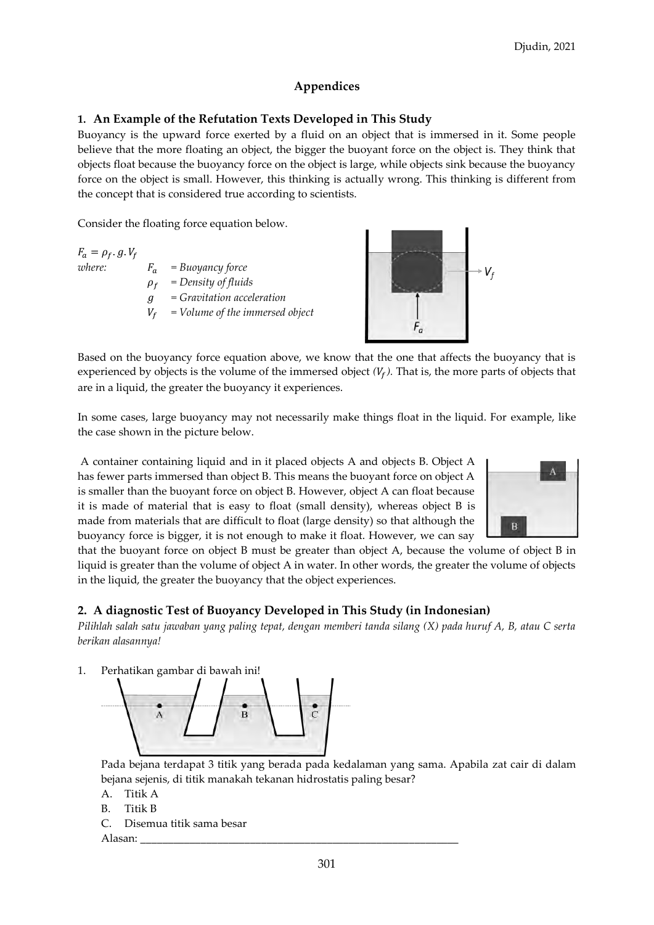# **Appendices**

# **1. An Example of the Refutation Texts Developed in This Study**

Buoyancy is the upward force exerted by a fluid on an object that is immersed in it. Some people believe that the more floating an object, the bigger the buoyant force on the object is. They think that objects float because the buoyancy force on the object is large, while objects sink because the buoyancy force on the object is small. However, this thinking is actually wrong. This thinking is different from the concept that is considered true according to scientists.

Consider the floating force equation below.

 $F_a = \rho_f \cdot g \cdot V_f$ 

*where:*  $F_a = Buoyancy force$  *= Density of fluids = Gravitation acceleration = Volume of the immersed object*



Based on the buoyancy force equation above, we know that the one that affects the buoyancy that is experienced by objects is the volume of the immersed object  $(V_f)$ . That is, the more parts of objects that are in a liquid, the greater the buoyancy it experiences.

In some cases, large buoyancy may not necessarily make things float in the liquid. For example, like the case shown in the picture below.

A container containing liquid and in it placed objects A and objects B. Object A has fewer parts immersed than object B. This means the buoyant force on object A is smaller than the buoyant force on object B. However, object A can float because it is made of material that is easy to float (small density), whereas object B is made from materials that are difficult to float (large density) so that although the buoyancy force is bigger, it is not enough to make it float. However, we can say



that the buoyant force on object B must be greater than object A, because the volume of object B in liquid is greater than the volume of object A in water. In other words, the greater the volume of objects in the liquid, the greater the buoyancy that the object experiences.

# **2. A diagnostic Test of Buoyancy Developed in This Study (in Indonesian)**

*Pilihlah salah satu jawaban yang paling tepat, dengan memberi tanda silang (X) pada huruf A, B, atau C serta berikan alasannya!*

1. Perhatikan gambar di bawah ini!



Pada bejana terdapat 3 titik yang berada pada kedalaman yang sama. Apabila zat cair di dalam bejana sejenis, di titik manakah tekanan hidrostatis paling besar?

- A. Titik A
- B. Titik B
- C. Disemua titik sama besar

Alasan: \_\_\_\_\_\_\_\_\_\_\_\_\_\_\_\_\_\_\_\_\_\_\_\_\_\_\_\_\_\_\_\_\_\_\_\_\_\_\_\_\_\_\_\_\_\_\_\_\_\_\_\_\_\_\_\_\_\_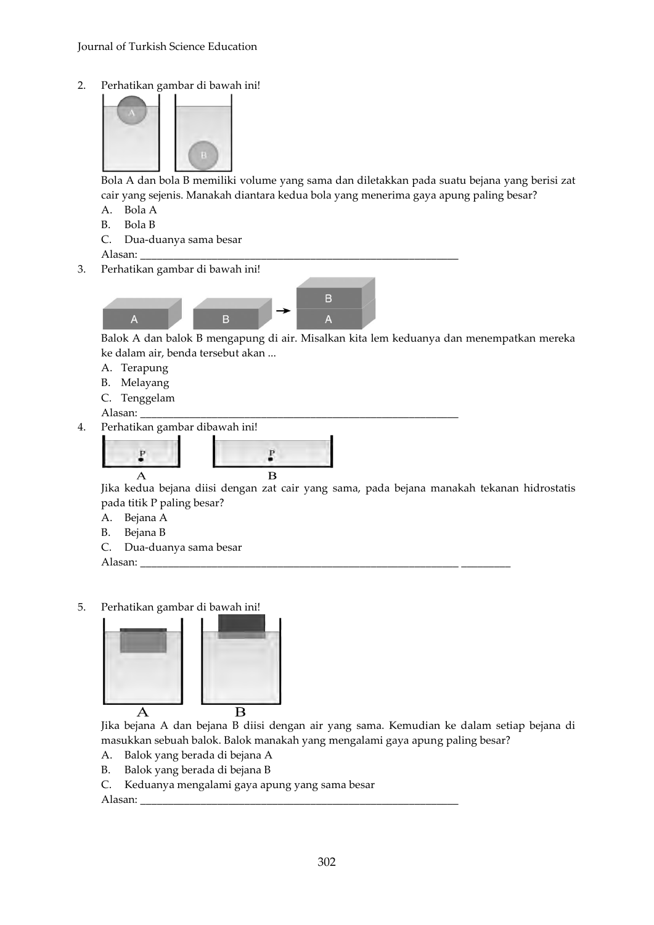2. Perhatikan gambar di bawah ini!



Bola A dan bola B memiliki volume yang sama dan diletakkan pada suatu bejana yang berisi zat cair yang sejenis. Manakah diantara kedua bola yang menerima gaya apung paling besar?

- A. Bola A
- B. Bola B
- C. Dua-duanya sama besar

Alasan:

3. Perhatikan gambar di bawah ini!



Balok A dan balok B mengapung di air. Misalkan kita lem keduanya dan menempatkan mereka ke dalam air, benda tersebut akan ...

- A. Terapung
- B. Melayang
- C. Tenggelam

Alasan:

4. Perhatikan gambar dibawah ini!



Jika kedua bejana diisi dengan zat cair yang sama, pada bejana manakah tekanan hidrostatis pada titik P paling besar?

- A. Bejana A
- B. Bejana B
- C. Dua-duanya sama besar

Alasan:

5. Perhatikan gambar di bawah ini!



Jika bejana A dan bejana B diisi dengan air yang sama. Kemudian ke dalam setiap bejana di masukkan sebuah balok. Balok manakah yang mengalami gaya apung paling besar?

- A. Balok yang berada di bejana A
- B. Balok yang berada di bejana B
- C. Keduanya mengalami gaya apung yang sama besar

Alasan: